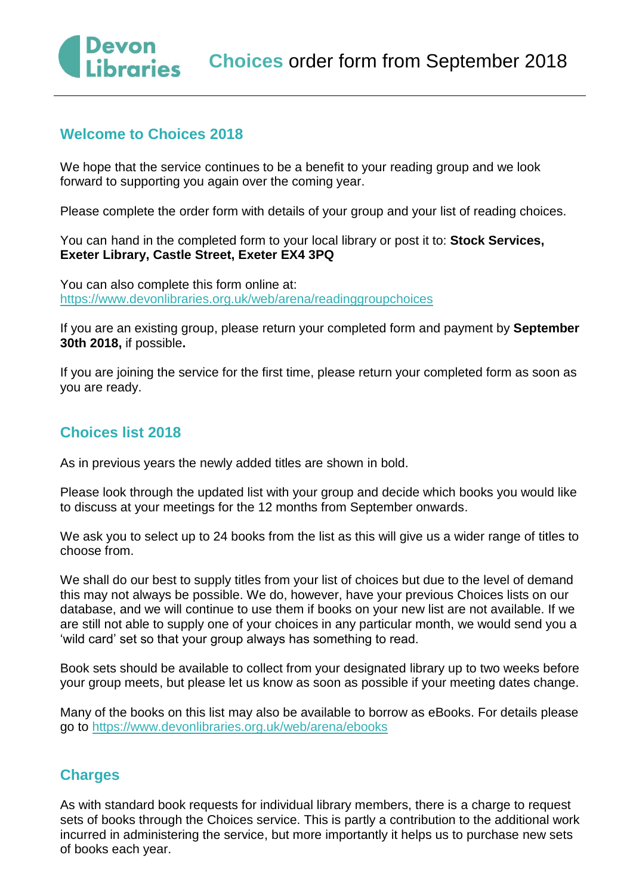## **Choices** order form from September 2018

## **Welcome to Choices 2018**

We hope that the service continues to be a benefit to your reading group and we look forward to supporting you again over the coming year.

Please complete the order form with details of your group and your list of reading choices.

You can hand in the completed form to your local library or post it to: **Stock Services, Exeter Library, Castle Street, Exeter EX4 3PQ**

You can also complete this form online at: <https://www.devonlibraries.org.uk/web/arena/readinggroupchoices>

If you are an existing group, please return your completed form and payment by **September 30th 2018,** if possible**.** 

If you are joining the service for the first time, please return your completed form as soon as you are ready.

## **Choices list 2018**

As in previous years the newly added titles are shown in bold.

Please look through the updated list with your group and decide which books you would like to discuss at your meetings for the 12 months from September onwards.

We ask you to select up to 24 books from the list as this will give us a wider range of titles to choose from.

We shall do our best to supply titles from your list of choices but due to the level of demand this may not always be possible. We do, however, have your previous Choices lists on our database, and we will continue to use them if books on your new list are not available. If we are still not able to supply one of your choices in any particular month, we would send you a 'wild card' set so that your group always has something to read.

Book sets should be available to collect from your designated library up to two weeks before your group meets, but please let us know as soon as possible if your meeting dates change.

Many of the books on this list may also be available to borrow as eBooks. For details please go to https://www.devonlibraries.org.uk/web/arena/ebooks

### **Charges**

As with standard book requests for individual library members, there is a charge to request sets of books through the Choices service. This is partly a contribution to the additional work incurred in administering the service, but more importantly it helps us to purchase new sets of books each year.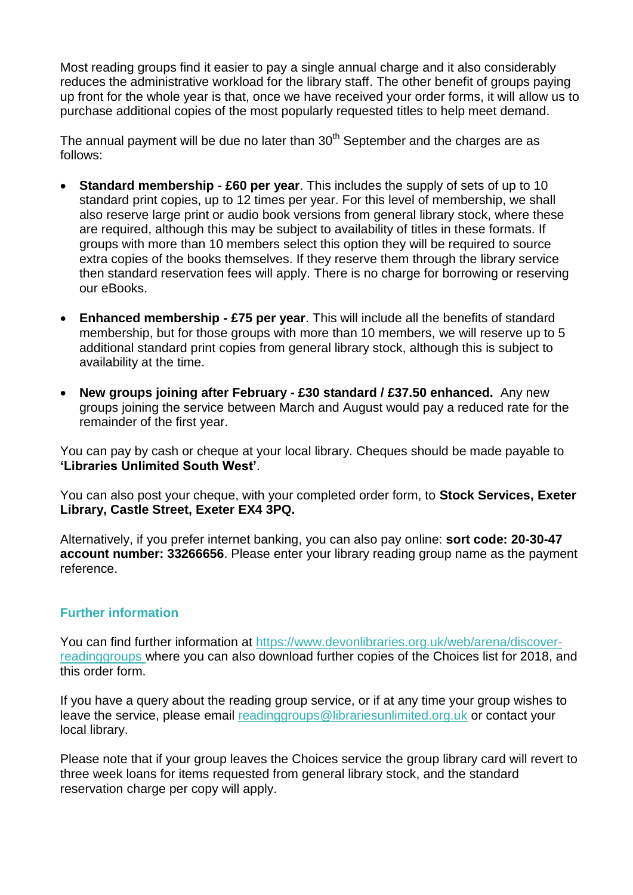Most reading groups find it easier to pay a single annual charge and it also considerably reduces the administrative workload for the library staff. The other benefit of groups paying up front for the whole year is that, once we have received your order forms, it will allow us to purchase additional copies of the most popularly requested titles to help meet demand.

The annual payment will be due no later than  $30<sup>th</sup>$  September and the charges are as follows:

- **Standard membership £60 per year**. This includes the supply of sets of up to 10 standard print copies, up to 12 times per year. For this level of membership, we shall also reserve large print or audio book versions from general library stock, where these are required, although this may be subject to availability of titles in these formats. If groups with more than 10 members select this option they will be required to source extra copies of the books themselves. If they reserve them through the library service then standard reservation fees will apply. There is no charge for borrowing or reserving our eBooks.
- **Enhanced membership - £75 per year**. This will include all the benefits of standard membership, but for those groups with more than 10 members, we will reserve up to 5 additional standard print copies from general library stock, although this is subject to availability at the time.
- **New groups joining after February - £30 standard / £37.50 enhanced.** Any new groups joining the service between March and August would pay a reduced rate for the remainder of the first year.

You can pay by cash or cheque at your local library. Cheques should be made payable to **'Libraries Unlimited South West'**.

You can also post your cheque, with your completed order form, to **Stock Services, Exeter Library, Castle Street, Exeter EX4 3PQ.**

Alternatively, if you prefer internet banking, you can also pay online: **sort code: 20-30-47 account number: 33266656**. Please enter your library reading group name as the payment reference.

#### **Further information**

You can find further information at [https://www.devonlibraries.org.uk/web/arena/discover](https://www.devonlibraries.org.uk/web/arena/discover-readinggroups)[readinggroups](https://www.devonlibraries.org.uk/web/arena/discover-readinggroups) where you can also download further copies of the Choices list for 2018, and this order form.

If you have a query about the reading group service, or if at any time your group wishes to leave the service, please email [readinggroups@librariesunlimited.org.uk](mailto:readinggroups@librariesunlimited.org.uk) or contact your local library.

Please note that if your group leaves the Choices service the group library card will revert to three week loans for items requested from general library stock, and the standard reservation charge per copy will apply.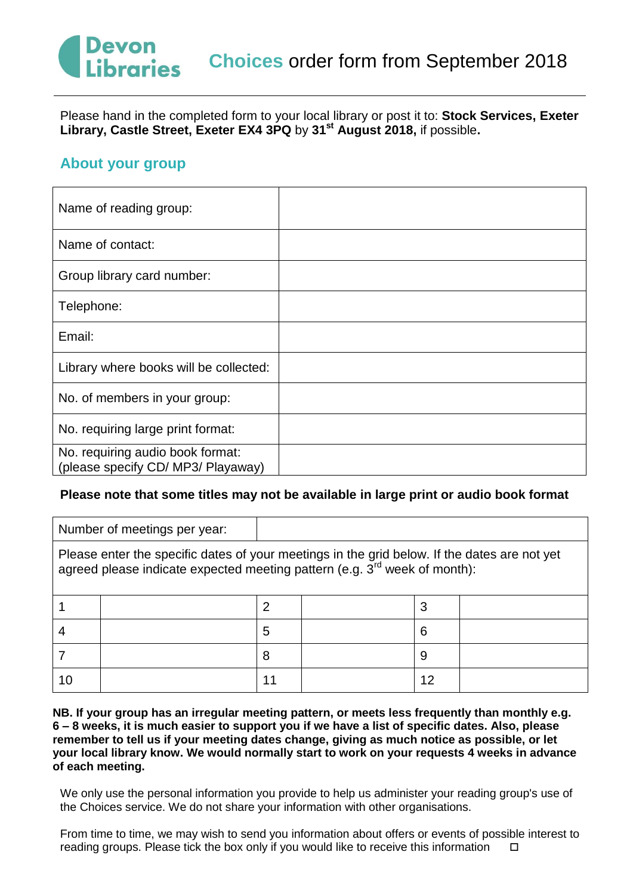# Devon **braries**

Please hand in the completed form to your local library or post it to: **Stock Services, Exeter Library, Castle Street, Exeter EX4 3PQ** by **31st August 2018,** if possible**.** 

### **About your group**

| Name of reading group:                                                 |  |
|------------------------------------------------------------------------|--|
| Name of contact:                                                       |  |
| Group library card number:                                             |  |
| Telephone:                                                             |  |
| Email:                                                                 |  |
| Library where books will be collected:                                 |  |
| No. of members in your group:                                          |  |
| No. requiring large print format:                                      |  |
| No. requiring audio book format:<br>(please specify CD/ MP3/ Playaway) |  |

#### **Please note that some titles may not be available in large print or audio book format**

|                                                                                                                                                                                       | Number of meetings per year: |    |  |    |  |
|---------------------------------------------------------------------------------------------------------------------------------------------------------------------------------------|------------------------------|----|--|----|--|
| Please enter the specific dates of your meetings in the grid below. If the dates are not yet<br>agreed please indicate expected meeting pattern (e.g. $3^{\text{rd}}$ week of month): |                              |    |  |    |  |
|                                                                                                                                                                                       |                              |    |  | 3  |  |
|                                                                                                                                                                                       |                              | 5  |  | 6  |  |
|                                                                                                                                                                                       |                              | 8  |  | 9  |  |
| 10                                                                                                                                                                                    |                              | 11 |  | 12 |  |

**NB. If your group has an irregular meeting pattern, or meets less frequently than monthly e.g. 6 – 8 weeks, it is much easier to support you if we have a list of specific dates. Also, please remember to tell us if your meeting dates change, giving as much notice as possible, or let your local library know. We would normally start to work on your requests 4 weeks in advance of each meeting.** 

We only use the personal information you provide to help us administer your reading group's use of the Choices service. We do not share your information with other organisations.

From time to time, we may wish to send you information about offers or events of possible interest to reading groups. Please tick the box only if you would like to receive this information  $\square$